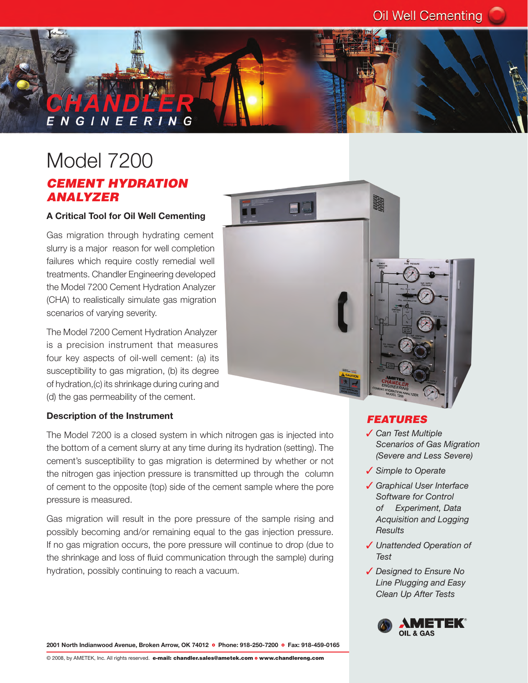# **NGINEERING**

### Model 7200 *CEMENT HYDRATION ANALYZER*

#### **A Critical Tool for Oil Well Cementing**

Gas migration through hydrating cement slurry is a major reason for well completion failures which require costly remedial well treatments. Chandler Engineering developed the Model 7200 Cement Hydration Analyzer (CHA) to realistically simulate gas migration scenarios of varying severity.

The Model 7200 Cement Hydration Analyzer is a precision instrument that measures four key aspects of oil-well cement: (a) its susceptibility to gas migration, (b) its degree of hydration,(c) its shrinkage during curing and (d) the gas permeability of the cement.



The Model 7200 is a closed system in which nitrogen gas is injected into the bottom of a cement slurry at any time during its hydration (setting). The cement's susceptibility to gas migration is determined by whether or not the nitrogen gas injection pressure is transmitted up through the column of cement to the opposite (top) side of the cement sample where the pore pressure is measured.

Gas migration will result in the pore pressure of the sample rising and possibly becoming and/or remaining equal to the gas injection pressure. If no gas migration occurs, the pore pressure will continue to drop (due to the shrinkage and loss of fluid communication through the sample) during hydration, possibly continuing to reach a vacuum.



#### *FEATURES*

- 3 *Can Test Multiple Scenarios of Gas Migration (Severe and Less Severe)*
- 3 *Simple to Operate*
- 3 *Graphical User Interface Software for Control of Experiment, Data Acquisition and Logging Results*
- 3 *Unattended Operation of Test*
- 3 *Designed to Ensure No Line Plugging and Easy Clean Up After Tests*



2001 North Indianwood Avenue, Broken Arrow, OK 74012 **·** Phone: 918-250-7200 · Fax: 918-459-0165

© 2008, by AMETEK, Inc. All rights reserved. e-mail: chandler.sales@ametek.com o www.chandlereng.com